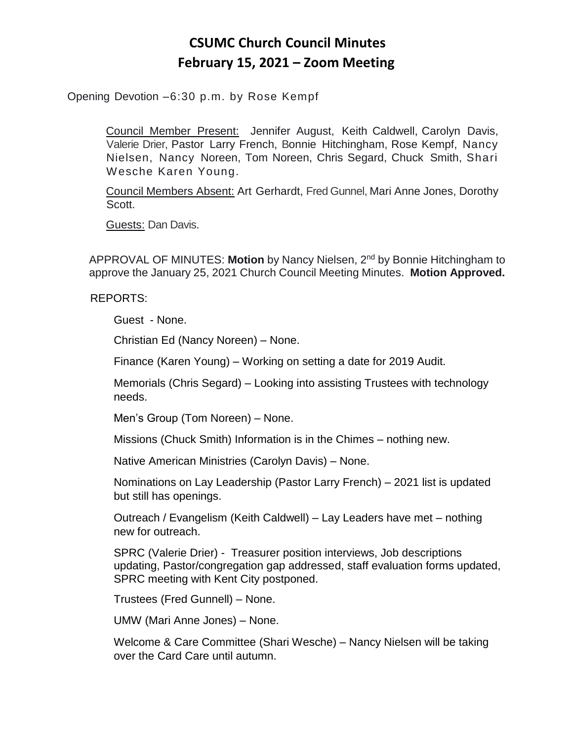## **CSUMC Church Council Minutes February 15, 2021 – Zoom Meeting**

Opening Devotion –6:30 p.m. by Rose Kempf

Council Member Present: Jennifer August, Keith Caldwell, Carolyn Davis, Valerie Drier, Pastor Larry French, Bonnie Hitchingham, Rose Kempf, Nancy Nielsen, Nancy Noreen, Tom Noreen, Chris Segard, Chuck Smith, Shari Wesche Karen Young.

Council Members Absent: Art Gerhardt, Fred Gunnel, Mari Anne Jones, Dorothy Scott.

Guests: Dan Davis.

APPROVAL OF MINUTES: **Motion** by Nancy Nielsen, 2nd by Bonnie Hitchingham to approve the January 25, 2021 Church Council Meeting Minutes. **Motion Approved.**

REPORTS:

Guest - None.

Christian Ed (Nancy Noreen) – None.

Finance (Karen Young) – Working on setting a date for 2019 Audit.

Memorials (Chris Segard) – Looking into assisting Trustees with technology needs.

Men's Group (Tom Noreen) – None.

Missions (Chuck Smith) Information is in the Chimes – nothing new.

Native American Ministries (Carolyn Davis) – None.

Nominations on Lay Leadership (Pastor Larry French) – 2021 list is updated but still has openings.

Outreach / Evangelism (Keith Caldwell) – Lay Leaders have met – nothing new for outreach.

SPRC (Valerie Drier) - Treasurer position interviews, Job descriptions updating, Pastor/congregation gap addressed, staff evaluation forms updated, SPRC meeting with Kent City postponed.

Trustees (Fred Gunnell) – None.

UMW (Mari Anne Jones) – None.

Welcome & Care Committee (Shari Wesche) – Nancy Nielsen will be taking over the Card Care until autumn.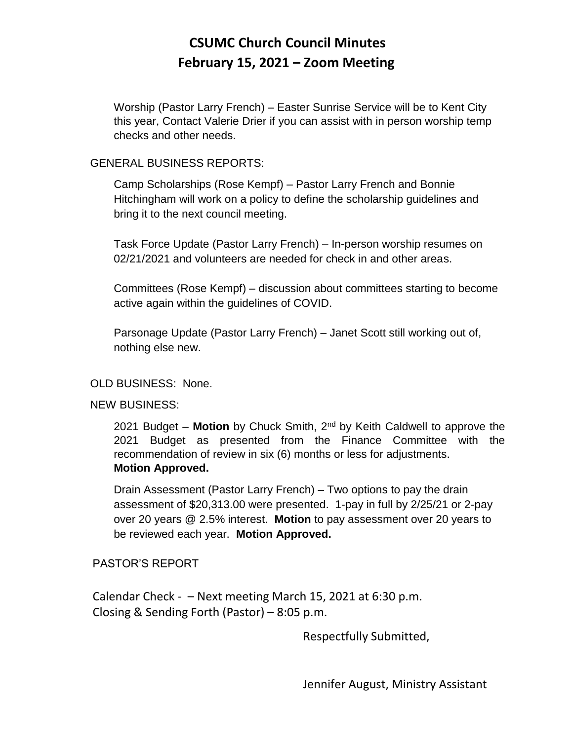## **CSUMC Church Council Minutes February 15, 2021 – Zoom Meeting**

Worship (Pastor Larry French) – Easter Sunrise Service will be to Kent City this year, Contact Valerie Drier if you can assist with in person worship temp checks and other needs.

## GENERAL BUSINESS REPORTS:

Camp Scholarships (Rose Kempf) – Pastor Larry French and Bonnie Hitchingham will work on a policy to define the scholarship guidelines and bring it to the next council meeting.

Task Force Update (Pastor Larry French) – In-person worship resumes on 02/21/2021 and volunteers are needed for check in and other areas.

Committees (Rose Kempf) – discussion about committees starting to become active again within the guidelines of COVID.

Parsonage Update (Pastor Larry French) – Janet Scott still working out of, nothing else new.

## OLD BUSINESS: None.

NEW BUSINESS:

2021 Budget – **Motion** by Chuck Smith, 2nd by Keith Caldwell to approve the 2021 Budget as presented from the Finance Committee with the recommendation of review in six (6) months or less for adjustments. **Motion Approved.**

Drain Assessment (Pastor Larry French) – Two options to pay the drain assessment of \$20,313.00 were presented. 1-pay in full by 2/25/21 or 2-pay over 20 years @ 2.5% interest. **Motion** to pay assessment over 20 years to be reviewed each year. **Motion Approved.**

PASTOR'S REPORT

Calendar Check -  $-$  Next meeting March 15, 2021 at 6:30 p.m. Closing & Sending Forth (Pastor) – 8:05 p.m.

Respectfully Submitted,

Jennifer August, Ministry Assistant